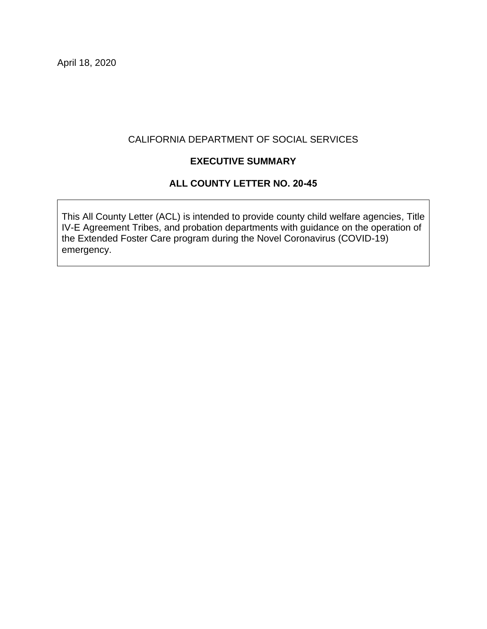April 18, 2020

### CALIFORNIA DEPARTMENT OF SOCIAL SERVICES

# **EXECUTIVE SUMMARY**

## **ALL COUNTY LETTER NO. 20-45**

This All County Letter (ACL) is intended to provide county child welfare agencies, Title IV-E Agreement Tribes, and probation departments with guidance on the operation of the Extended Foster Care program during the Novel Coronavirus (COVID-19) emergency.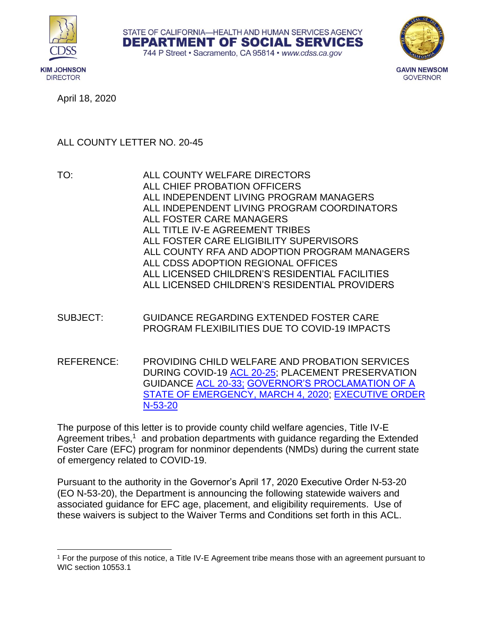





**GOVERNOR** 

April 18, 2020

# ALL COUNTY LETTER NO. 20-45

- TO: ALL COUNTY WELFARE DIRECTORS ALL CHIEF PROBATION OFFICERS ALL INDEPENDENT LIVING PROGRAM MANAGERS ALL INDEPENDENT LIVING PROGRAM COORDINATORS ALL FOSTER CARE MANAGERS ALL TITLE IV-E AGREEMENT TRIBES ALL FOSTER CARE ELIGIBILITY SUPERVISORS ALL COUNTY RFA AND ADOPTION PROGRAM MANAGERS ALL CDSS ADOPTION REGIONAL OFFICES ALL LICENSED CHILDREN'S RESIDENTIAL FACILITIES ALL LICENSED CHILDREN'S RESIDENTIAL PROVIDERS
- SUBJECT: GUIDANCE REGARDING EXTENDED FOSTER CARE PROGRAM FLEXIBILITIES DUE TO COVID-19 IMPACTS
- REFERENCE: PROVIDING CHILD WELFARE AND PROBATION SERVICES DURING COVID-19 [ACL 20-25;](https://www.cdss.ca.gov/Portals/9/Additional-Resources/Letters-and-Notices/ACLs/2020/ACL20-25.pdf) PLACEMENT PRESERVATION GUIDANCE [ACL 20-33;](https://www.cdss.ca.gov/Portals/9/Additional-Resources/Letters-and-Notices/ACLs/2020/20-33.pdf) [GOVERNOR'S PROCLAMATION OF A](https://www.gov.ca.gov/wp-content/uploads/2020/03/3.4.20-Coronavirus-SOE-Proclamation.pdf)  [STATE OF EMERGENCY, MARCH 4, 2020;](https://www.gov.ca.gov/wp-content/uploads/2020/03/3.4.20-Coronavirus-SOE-Proclamation.pdf) [EXECUTIVE ORDER](https://www.gov.ca.gov/wp-content/uploads/2020/04/4.17.20-EO-N-53-20.pdf)  [N-53-20](https://www.gov.ca.gov/wp-content/uploads/2020/04/4.17.20-EO-N-53-20.pdf)

The purpose of this letter is to provide county child welfare agencies, Title IV-E Agreement tribes,<sup>1</sup> and probation departments with guidance regarding the Extended Foster Care (EFC) program for nonminor dependents (NMDs) during the current state of emergency related to COVID-19.

Pursuant to the authority in the Governor's April 17, 2020 Executive Order N-53-20 (EO N-53-20), the Department is announcing the following statewide waivers and associated guidance for EFC age, placement, and eligibility requirements. Use of these waivers is subject to the Waiver Terms and Conditions set forth in this ACL.

<sup>1</sup> For the purpose of this notice, a Title IV-E Agreement tribe means those with an agreement pursuant to WIC section 10553.1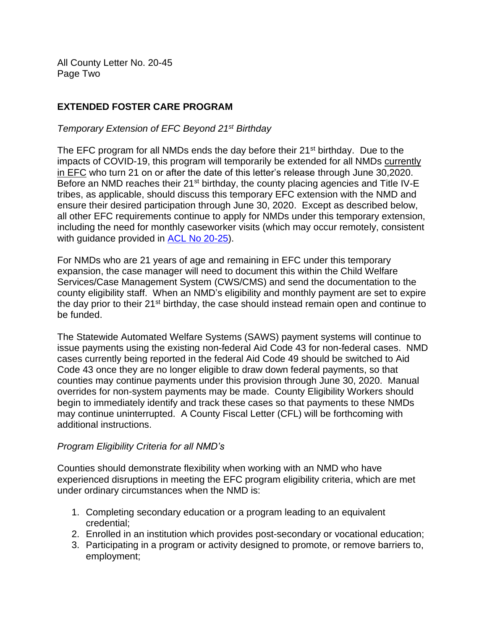All County Letter No. 20-45 Page Two

# **EXTENDED FOSTER CARE PROGRAM**

### *Temporary Extension of EFC Beyond 21st Birthday*

The EFC program for all NMDs ends the day before their  $21^{st}$  birthday. Due to the impacts of COVID-19, this program will temporarily be extended for all NMDs currently in EFC who turn 21 on or after the date of this letter's release through June 30,2020. Before an NMD reaches their 21<sup>st</sup> birthday, the county placing agencies and Title IV-E tribes, as applicable, should discuss this temporary EFC extension with the NMD and ensure their desired participation through June 30, 2020. Except as described below, all other EFC requirements continue to apply for NMDs under this temporary extension, including the need for monthly caseworker visits (which may occur remotely, consistent with guidance provided in [ACL No 20-25\)](https://www.cdss.ca.gov/Portals/9/Additional-Resources/Letters-and-Notices/ACLs/2020/ACL20-25.pdf).

For NMDs who are 21 years of age and remaining in EFC under this temporary expansion, the case manager will need to document this within the Child Welfare Services/Case Management System (CWS/CMS) and send the documentation to the county eligibility staff. When an NMD's eligibility and monthly payment are set to expire the day prior to their 21<sup>st</sup> birthday, the case should instead remain open and continue to be funded.

The Statewide Automated Welfare Systems (SAWS) payment systems will continue to issue payments using the existing non-federal Aid Code 43 for non-federal cases. NMD cases currently being reported in the federal Aid Code 49 should be switched to Aid Code 43 once they are no longer eligible to draw down federal payments, so that counties may continue payments under this provision through June 30, 2020. Manual overrides for non-system payments may be made. County Eligibility Workers should begin to immediately identify and track these cases so that payments to these NMDs may continue uninterrupted. A County Fiscal Letter (CFL) will be forthcoming with additional instructions.

#### *Program Eligibility Criteria for all NMD's*

Counties should demonstrate flexibility when working with an NMD who have experienced disruptions in meeting the EFC program eligibility criteria, which are met under ordinary circumstances when the NMD is:

- 1. Completing secondary education or a program leading to an equivalent credential;
- 2. Enrolled in an institution which provides post-secondary or vocational education;
- 3. Participating in a program or activity designed to promote, or remove barriers to, employment;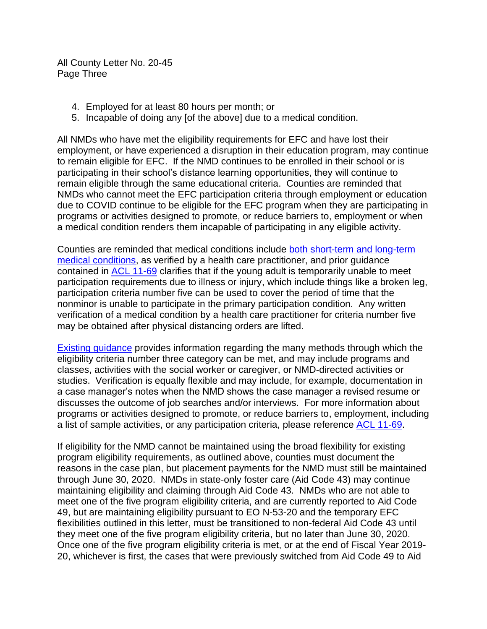All County Letter No. 20-45 Page Three

- 4. Employed for at least 80 hours per month; or
- 5. Incapable of doing any [of the above] due to a medical condition.

All NMDs who have met the eligibility requirements for EFC and have lost their employment, or have experienced a disruption in their education program, may continue to remain eligible for EFC. If the NMD continues to be enrolled in their school or is participating in their school's distance learning opportunities, they will continue to remain eligible through the same educational criteria. Counties are reminded that NMDs who cannot meet the EFC participation criteria through employment or education due to COVID continue to be eligible for the EFC program when they are participating in programs or activities designed to promote, or reduce barriers to, employment or when a medical condition renders them incapable of participating in any eligible activity.

Counties are reminded that medical conditions include [both short-term and long-term](https://www.cdss.ca.gov/lettersnotices/entres/getinfo/acl/2011/11-61.pdf)  [medical conditions,](https://www.cdss.ca.gov/lettersnotices/entres/getinfo/acl/2011/11-61.pdf) as verified by a health care practitioner, and prior guidance contained in [ACL 11-69](https://cdss.ca.gov/lettersnotices/entres/getinfo/acl/2011/11-69.pdf) clarifies that if the young adult is temporarily unable to meet participation requirements due to illness or injury, which include things like a broken leg, participation criteria number five can be used to cover the period of time that the nonminor is unable to participate in the primary participation condition. Any written verification of a medical condition by a health care practitioner for criteria number five may be obtained after physical distancing orders are lifted.

[Existing guidance](https://cdss.ca.gov/lettersnotices/entres/getinfo/acl/2011/11-69.pdf) provides information regarding the many methods through which the eligibility criteria number three category can be met, and may include programs and classes, activities with the social worker or caregiver, or NMD-directed activities or studies. Verification is equally flexible and may include, for example, documentation in a case manager's notes when the NMD shows the case manager a revised resume or discusses the outcome of job searches and/or interviews. For more information about programs or activities designed to promote, or reduce barriers to, employment, including a list of sample activities, or any participation criteria, please reference [ACL 11-69.](https://cdss.ca.gov/lettersnotices/entres/getinfo/acl/2011/11-69.pdf)

If eligibility for the NMD cannot be maintained using the broad flexibility for existing program eligibility requirements, as outlined above, counties must document the reasons in the case plan, but placement payments for the NMD must still be maintained through June 30, 2020. NMDs in state-only foster care (Aid Code 43) may continue maintaining eligibility and claiming through Aid Code 43. NMDs who are not able to meet one of the five program eligibility criteria, and are currently reported to Aid Code 49, but are maintaining eligibility pursuant to EO N-53-20 and the temporary EFC flexibilities outlined in this letter, must be transitioned to non-federal Aid Code 43 until they meet one of the five program eligibility criteria, but no later than June 30, 2020. Once one of the five program eligibility criteria is met, or at the end of Fiscal Year 2019- 20, whichever is first, the cases that were previously switched from Aid Code 49 to Aid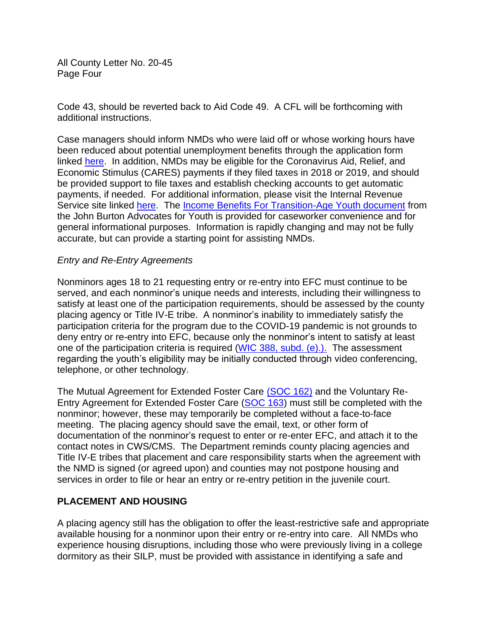All County Letter No. 20-45 Page Four

Code 43, should be reverted back to Aid Code 49. A CFL will be forthcoming with additional instructions.

Case managers should inform NMDs who were laid off or whose working hours have been reduced about potential unemployment benefits through the application form linked [here.](https://edd.ca.gov/Unemployment/Filing_a_Claim.htm) In addition, NMDs may be eligible for the Coronavirus Aid, Relief, and Economic Stimulus (CARES) payments if they filed taxes in 2018 or 2019, and should be provided support to file taxes and establish checking accounts to get automatic payments, if needed. For additional information, please visit the Internal Revenue Service site linked [here.](https://www.irs.gov/coronavirus/non-filers-enter-payment-info-here) The [Income Benefits For Transition-Age Youth document](https://www.jbaforyouth.org/wp-content/uploads/2020/04/Student-income-resources-4.10.20.pdf) from the John Burton Advocates for Youth is provided for caseworker convenience and for general informational purposes. Information is rapidly changing and may not be fully accurate, but can provide a starting point for assisting NMDs.

#### *Entry and Re-Entry Agreements*

Nonminors ages 18 to 21 requesting entry or re-entry into EFC must continue to be served, and each nonminor's unique needs and interests, including their willingness to satisfy at least one of the participation requirements, should be assessed by the county placing agency or Title IV-E tribe. A nonminor's inability to immediately satisfy the participation criteria for the program due to the COVID-19 pandemic is not grounds to deny entry or re-entry into EFC, because only the nonminor's intent to satisfy at least one of the participation criteria is required [\(WIC 388, subd. \(e\).\).](http://leginfo.legislature.ca.gov/faces/codes_displaySection.xhtml?lawCode=WIC§ionNum=388.) The assessment regarding the youth's eligibility may be initially conducted through video conferencing, telephone, or other technology.

The Mutual Agreement for Extended Foster Care [\(SOC 162\)](https://www.cdss.ca.gov/Portals/9/FMUForms/Q-T/SOC162.pdf) and the Voluntary Re-Entry Agreement for Extended Foster Care [\(SOC 163\)](https://www.cdss.ca.gov/cdssweb/entres/forms/English/SOC163.pdf) must still be completed with the nonminor; however, these may temporarily be completed without a face-to-face meeting. The placing agency should save the email, text, or other form of documentation of the nonminor's request to enter or re-enter EFC, and attach it to the contact notes in CWS/CMS. The Department reminds county placing agencies and Title IV-E tribes that placement and care responsibility starts when the agreement with the NMD is signed (or agreed upon) and counties may not postpone housing and services in order to file or hear an entry or re-entry petition in the juvenile court.

#### **PLACEMENT AND HOUSING**

A placing agency still has the obligation to offer the least-restrictive safe and appropriate available housing for a nonminor upon their entry or re-entry into care. All NMDs who experience housing disruptions, including those who were previously living in a college dormitory as their SILP, must be provided with assistance in identifying a safe and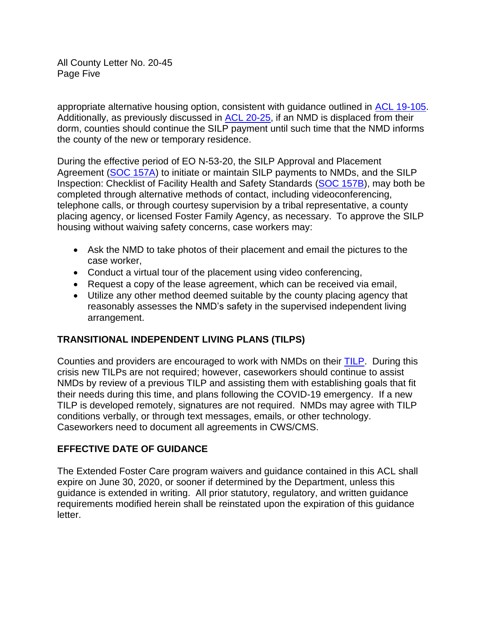All County Letter No. 20-45 Page Five

appropriate alternative housing option, consistent with guidance outlined in ACL [19-105.](https://www.cdss.ca.gov/Portals/9/Additional-Resources/Letters-and-Notices/ACLs/2019/19-105.pdf) Additionally, as previously discussed in ACL [20-25,](https://www.cdss.ca.gov/Portals/9/Additional-Resources/Letters-and-Notices/ACLs/2020/ACL20-25.pdf) if an NMD is displaced from their dorm, counties should continue the SILP payment until such time that the NMD informs the county of the new or temporary residence.

During the effective period of EO N-53-20, the SILP Approval and Placement Agreement [\(SOC 157A\)](https://www.cdss.ca.gov/Portals/9/FMUForms/Q-T/SOC157A.pdf) to initiate or maintain SILP payments to NMDs, and the SILP Inspection: Checklist of Facility Health and Safety Standards [\(SOC 157B\)](https://www.cdss.ca.gov/Portals/9/FMUForms/Q-T/SOC157B.pdf), may both be completed through alternative methods of contact, including videoconferencing, telephone calls, or through courtesy supervision by a tribal representative, a county placing agency, or licensed Foster Family Agency, as necessary. To approve the SILP housing without waiving safety concerns, case workers may:

- Ask the NMD to take photos of their placement and email the pictures to the case worker,
- Conduct a virtual tour of the placement using video conferencing,
- Request a copy of the lease agreement, which can be received via email,
- Utilize any other method deemed suitable by the county placing agency that reasonably assesses the NMD's safety in the supervised independent living arrangement.

# **TRANSITIONAL INDEPENDENT LIVING PLANS (TILPS)**

Counties and providers are encouraged to work with NMDs on their [TILP.](https://www.cdss.ca.gov/Portals/9/FMUForms/Q-T/TILP1.pdf) During this crisis new TILPs are not required; however, caseworkers should continue to assist NMDs by review of a previous TILP and assisting them with establishing goals that fit their needs during this time, and plans following the COVID-19 emergency. If a new TILP is developed remotely, signatures are not required. NMDs may agree with TILP conditions verbally, or through text messages, emails, or other technology. Caseworkers need to document all agreements in CWS/CMS.

# **EFFECTIVE DATE OF GUIDANCE**

The Extended Foster Care program waivers and guidance contained in this ACL shall expire on June 30, 2020, or sooner if determined by the Department, unless this guidance is extended in writing. All prior statutory, regulatory, and written guidance requirements modified herein shall be reinstated upon the expiration of this guidance letter.